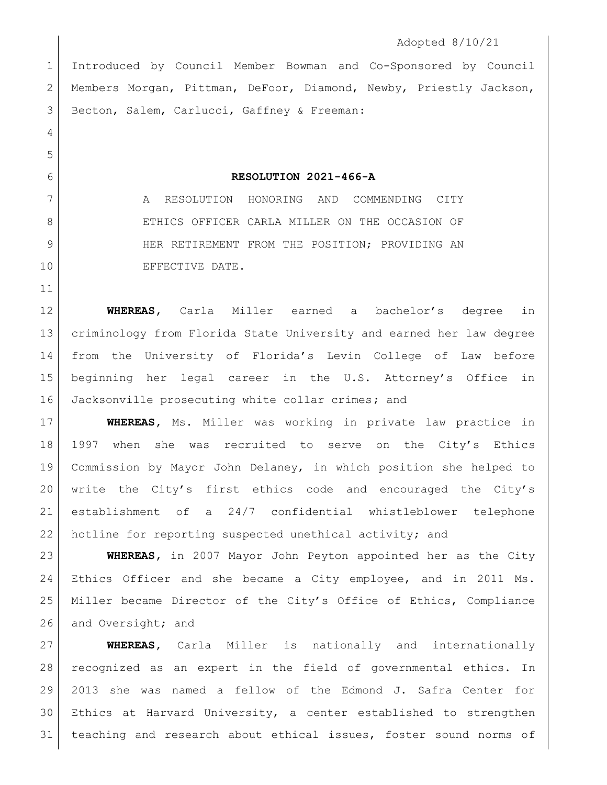## Adopted 8/10/21

 Introduced by Council Member Bowman and Co-Sponsored by Council Members Morgan, Pittman, DeFoor, Diamond, Newby, Priestly Jackson, 3 Becton, Salem, Carlucci, Gaffney & Freeman:

## **RESOLUTION 2021-466-A**

7 | A RESOLUTION HONORING AND COMMENDING CITY 8 ETHICS OFFICER CARLA MILLER ON THE OCCASION OF 9 HER RETIREMENT FROM THE POSITION; PROVIDING AN 10 EFFECTIVE DATE.

 **WHEREAS,** Carla Miller earned a bachelor's degree in criminology from Florida State University and earned her law degree from the University of Florida's Levin College of Law before beginning her legal career in the U.S. Attorney's Office in Jacksonville prosecuting white collar crimes**;** and

 **WHEREAS,** Ms. Miller was working in private law practice in 1997 when she was recruited to serve on the City's Ethics Commission by Mayor John Delaney, in which position she helped to write the City's first ethics code and encouraged the City's establishment of a 24/7 confidential whistleblower telephone hotline for reporting suspected unethical activity; and

 **WHEREAS,** in 2007 Mayor John Peyton appointed her as the City Ethics Officer and she became a City employee, and in 2011 Ms. Miller became Director of the City's Office of Ethics, Compliance 26 and Oversight; and

 **WHEREAS,** Carla Miller is nationally and internationally recognized as an expert in the field of governmental ethics. In 2013 she was named a fellow of the Edmond J. Safra Center for Ethics at Harvard University, a center established to strengthen 31 teaching and research about ethical issues, foster sound norms of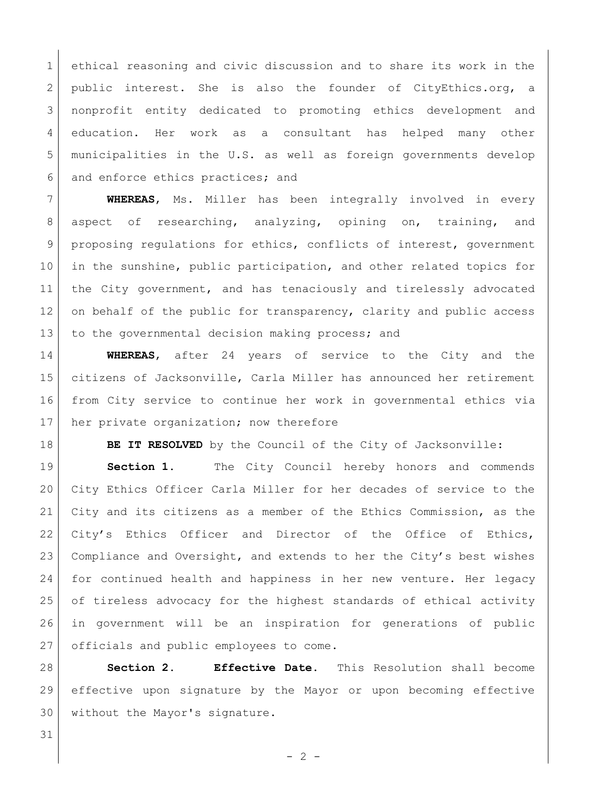ethical reasoning and civic discussion and to share its work in the 2 public interest. She is also the founder of CityEthics.org, a nonprofit entity dedicated to promoting ethics development and education. Her work as a consultant has helped many other municipalities in the U.S. as well as foreign governments develop 6 and enforce ethics practices; and

 **WHEREAS**, Ms. Miller has been integrally involved in every 8 aspect of researching, analyzing, opining on, training, and proposing regulations for ethics, conflicts of interest, government in the sunshine, public participation, and other related topics for 11 | the City government, and has tenaciously and tirelessly advocated 12 on behalf of the public for transparency, clarity and public access 13 to the governmental decision making process; and

 **WHEREAS**, after 24 years of service to the City and the citizens of Jacksonville, Carla Miller has announced her retirement from City service to continue her work in governmental ethics via 17 her private organization; now therefore

**BE IT RESOLVED** by the Council of the City of Jacksonville:

 **Section 1.** The City Council hereby honors and commends City Ethics Officer Carla Miller for her decades of service to the City and its citizens as a member of the Ethics Commission, as the 22 City's Ethics Officer and Director of the Office of Ethics, Compliance and Oversight, and extends to her the City's best wishes for continued health and happiness in her new venture. Her legacy of tireless advocacy for the highest standards of ethical activity in government will be an inspiration for generations of public 27 officials and public employees to come.

 **Section 2. Effective Date.** This Resolution shall become effective upon signature by the Mayor or upon becoming effective without the Mayor's signature.